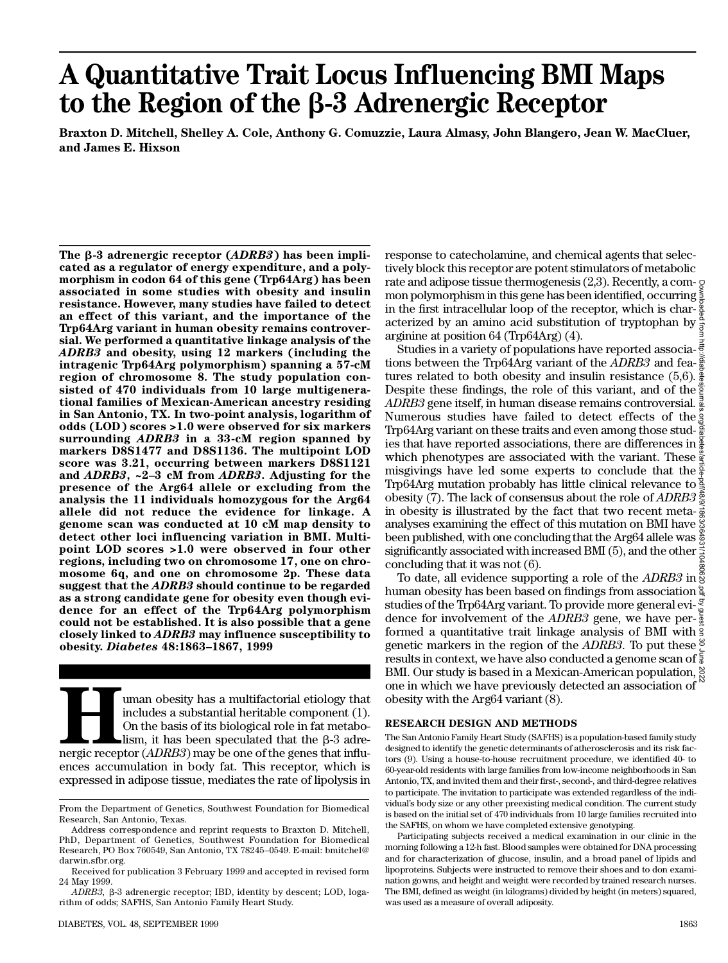# **A Quantitative Trait Locus Influencing BMI Maps to the Region of the** b**-3 Adrenergic Receptor**

**Braxton D. Mitchell, Shelley A. Cole, Anthony G. Comuzzie, Laura Almasy, John Blangero, Jean W. MacCluer, and James E. Hixson**

**The** b**-3 adrenergic receptor (***A D R B 3***) has been implicated as a regulator of energy expenditure, and a polymorphism in codon 64 of this gene (Trp64Arg) has been associated in some studies with obesity and insulin resistance. However, many studies have failed to detect an effect of this variant, and the importance of the Trp64Arg variant in human obesity remains controversial. We performed a quantitative linkage analysis of the** *A D R B 3* **and obesity, using 12 markers (including the intragenic Trp64Arg polymorphism) spanning a 57-cM region of chromosome 8. The study population consisted of 470 individuals from 10 large multigenerational families of Mexican-American ancestry residing in San Antonio, TX. In two-point analysis, logarithm of odds (LOD) scores >1.0 were observed for six markers surrounding** *ADRB3* **in a 33-cM region spanned by markers D8S1477 and D8S1136. The multipoint LOD score was 3.21, occurring between markers D8S1121 and** *A D R B 3***, ~2–3 cM from** *A D R B 3***. Adjusting for the presence of the Arg64 allele or excluding from the analysis the 11 individuals homozygous for the Arg64 allele did not reduce the evidence for linkage. A genome scan was conducted at 10 cM map density to detect other loci influencing variation in BMI. Multipoint LOD scores >1.0 were observed in four other regions, including two on chromosome 17, one on chromosome 6q, and one on chromosome 2p. These data suggest that the** *A D R B 3* **should continue to be regarded as a strong candidate gene for obesity even though evidence for an effect of the Trp64Arg polymorphism could not be established. It is also possible that a gene closely linked to** *A D R B 3* **may influence susceptibility to o b e s i t y.** *D i a b e t e s* **48:1863–1867, 1999**

**Hereafter** imaging what includes a substantial heritable component (1). On the basis of its biological role in fat metabo-lism, it has been speculated that the  $\beta$ -3 adrenergic receptor (*ADRB3*) may be one of the genes uman obesity has a multifactorial etiology that includes a substantial heritable component (1). On the basis of its biological role in fat metabolism, it has been speculated that the  $\beta$ -3 adreences accumulation in body fat. This receptor, which is expressed in adipose tissue, mediates the rate of lipolysis in

DIABETES, VOL. 48, SEPTEMBER 1999 1863

response to catecholamine, and chemical agents that selectively block this receptor are potent stimulators of metabolic rate and adipose tissue thermogenesis (2,3). Recently, a common polymorphism in this gene has been identified, occurring  $\frac{5}{5}$ in the first intracellular loop of the receptor, which is char- $\frac{8}{9}$ acterized by an amino acid substitution of tryptophan by  $\frac{\alpha}{2}$ arginine at position 64 (Trp64Arg) (4).

Studies in a variety of populations have reported associations between the Trp64Arg variant of the *ADRB3* and features related to both obesity and insulin resistance (5,6). Despite these findings, the role of this variant, and of the  $\frac{8}{2}$ *ADRB3* gene itself, in human disease remains controversial.  $\frac{3}{2}$ Numerous studies have failed to detect effects of the Trp64Arg variant on these traits and even among those stud- $\frac{3}{8}$ ies that have reported associations, there are differences in which phenotypes are associated with the variant. These misgivings have led some experts to conclude that the  $\frac{5}{8}$ Trp64Arg mutation probably has little clinical relevance to obesity (7). The lack of consensus about the role of *A D R B 3* in obesity is illustrated by the fact that two recent meta- $\frac{3}{8}$ analyses examining the effect of this mutation on BMI have been published, with one concluding that the Arg64 allele was  $\frac{5}{6}$ significantly associated with increased BMI (5), and the other  $\geq$ concluding that it was not (6). Downloaded from http://diabetesjournals.org/diabetes/article-pdf/48/9/1863/364931/10480620.pdf by guest on 30 June 2022

To date, all evidence supporting a role of the *ADRB3* in  $\frac{8}{9}$ human obesity has been based on findings from association  $\frac{a}{2}$ studies of the Trp64Arg variant. To provide more general evidence for involvement of the *ADRB3* gene, we have performed a quantitative trait linkage analysis of BMI with genetic markers in the region of the *ADRB3*. To put these  $\frac{8}{5}$ results in context, we have also conducted a genome scan of  $\frac{2}{3}$ BMI. Our study is based in a Mexican-American population,  $\frac{8}{6}$ one in which we have previously detected an association of obesity with the Arg64 variant (8).

# **RESEARCH DESIGN AND METHODS**

The San Antonio Family Heart Study (SAFHS) is a population-based family study designed to identify the genetic determinants of atherosclerosis and its risk factors (9). Using a house-to-house recruitment procedure, we identified 40- to 60-year-old residents with large families from low-income neighborhoods in San Antonio, TX, and invited them and their first-, second-, and third-degree relatives to participate. The invitation to participate was extended regardless of the individual's body size or any other preexisting medical condition. The current study is based on the initial set of 470 individuals from 10 large families recruited into the SAFHS, on whom we have completed extensive genotyping.

Participating subjects received a medical examination in our clinic in the morning following a 12-h fast. Blood samples were obtained for DNA processing and for characterization of glucose, insulin, and a broad panel of lipids and lipoproteins. Subjects were instructed to remove their shoes and to don examination gowns, and height and weight were recorded by trained research nurses. The BMI, defined as weight (in kilograms) divided by height (in meters) squared, was used as a measure of overall adiposity.

From the Department of Genetics, Southwest Foundation for Biomedical Research, San Antonio, Texas.

Address correspondence and reprint requests to Braxton D. Mitchell, PhD, Department of Genetics, Southwest Foundation for Biomedical Research, PO Box 760549, San Antonio, TX 78245–0549. E-mail: bmitchel@ darwin.sfbr.org.

Received for publication 3 February 1999 and accepted in revised form 24 May 1999.

*ADRB3,* b-3 adrenergic receptor; IBD, identity by descent; LOD, logarithm of odds; SAFHS, San Antonio Family Heart Study.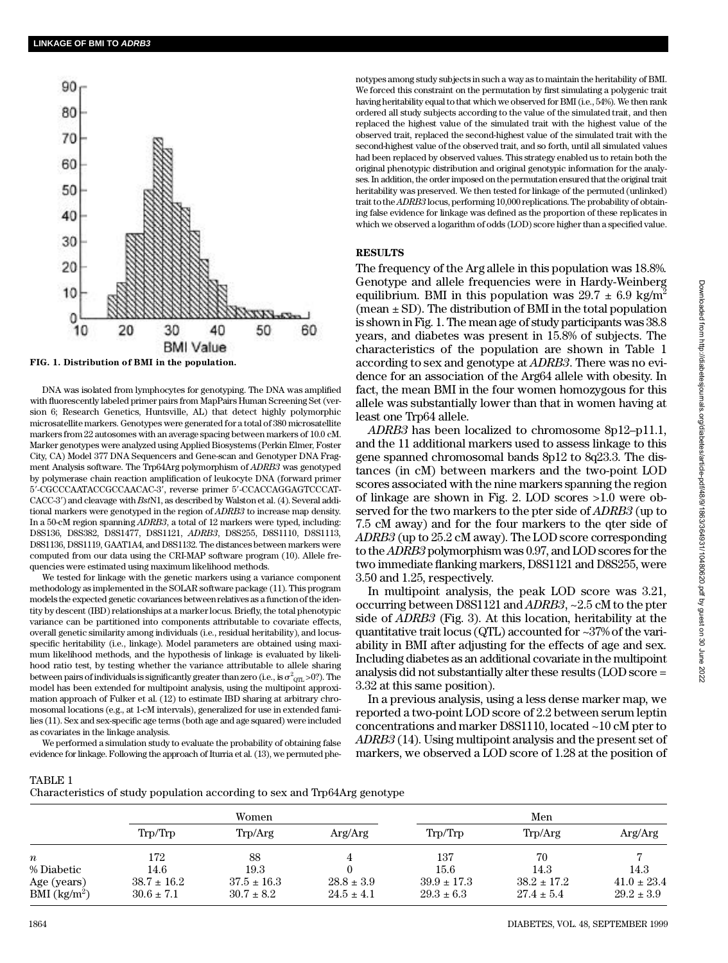

**FIG. 1. Distribution of BMI in the population.**

DNA was isolated from lymphocytes for genotyping. The DNA was amplified with fluorescently labeled primer pairs from MapPairs Human Screening Set (version 6; Research Genetics, Huntsville, AL) that detect highly polymorphic microsatellite markers. Genotypes were generated for a total of 380 microsatellite markers from 22 autosomes with an average spacing between markers of 10.0 cM. Marker genotypes were analyzed using Applied Biosystems (Perkin Elmer, Foster City, CA) Model 377 DNA Sequencers and Gene-scan and Genotyper DNA Fragment Analysis software. The Trp64Arg polymorphism of *ADRB3* was genotyped by polymerase chain reaction amplification of leukocyte DNA (forward primer 5'-CGCCCAATACCGCCAACAC-3', reverse primer 5'-CCACCAGGAGTCCCAT-CACC-3') and cleavage with *BstN1*, as described by Walston et al. (4). Several additional markers were genotyped in the region of *ADRB3* to increase map density. In a 50-cM region spanning *ADRB3*, a total of 12 markers were typed, including: D8S136, D8S382, D8S1477, D8S1121, *ADRB3*, D8S255, D8S1110, D8S1113, D8S1136, D8S1119, GAAT1A4, and D8S1132. The distances between markers were computed from our data using the CRI-MAP software program (10). Allele frequencies were estimated using maximum likelihood methods.

We tested for linkage with the genetic markers using a variance component methodology as implemented in the SOLAR software package (11). This program models the expected genetic covariances between relatives as a function of the identity by descent (IBD) relationships at a marker locus. Briefly, the total phenotypic variance can be partitioned into components attributable to covariate effects, overall genetic similarity among individuals (i.e., residual heritability), and locusspecific heritability (i.e., linkage). Model parameters are obtained using maximum likelihood methods, and the hypothesis of linkage is evaluated by likelihood ratio test, by testing whether the variance attributable to allele sharing between pairs of individuals is significantly greater than zero (i.e., is  $\sigma^2_{\rm QTL}$  >0?). The model has been extended for multipoint analysis, using the multipoint approximation approach of Fulker et al. (12) to estimate IBD sharing at arbitrary chromosomal locations (e.g., at 1-cM intervals), generalized for use in extended families (11). Sex and sex-specific age terms (both age and age squared) were included as covariates in the linkage analysis.

We performed a simulation study to evaluate the probability of obtaining false evidence for linkage. Following the approach of Iturria et al. (13), we permuted phe-

notypes among study subjects in such a way as to maintain the heritability of BMI. We forced this constraint on the permutation by first simulating a polygenic trait having heritability equal to that which we observed for BMI (i.e., 54%). We then rank ordered all study subjects according to the value of the simulated trait, and then replaced the highest value of the simulated trait with the highest value of the observed trait, replaced the second-highest value of the simulated trait with the second-highest value of the observed trait, and so forth, until all simulated values had been replaced by observed values. This strategy enabled us to retain both the original phenotypic distribution and original genotypic information for the analyses. In addition, the order imposed on the permutation ensured that the original trait heritability was preserved. We then tested for linkage of the permuted (unlinked) trait to the *ADRB3* locus, performing 10,000 replications. The probability of obtaining false evidence for linkage was defined as the proportion of these replicates in which we observed a logarithm of odds (LOD) score higher than a specified value.

# **RESULTS**

The frequency of the Arg allele in this population was 18.8%. Genotype and allele frequencies were in Hardy-Weinberg equilibrium. BMI in this population was  $29.7 \pm 6.9$  kg/m<sup>2</sup> (mean  $\pm$  SD). The distribution of BMI in the total population is shown in Fig. 1. The mean age of study participants was 38.8 years, and diabetes was present in 15.8% of subjects. The characteristics of the population are shown in Table 1 according to sex and genotype at *ADRB3*. There was no evidence for an association of the Arg64 allele with obesity. In fact, the mean BMI in the four women homozygous for this allele was substantially lower than that in women having at least one Trp64 allele.

*ADRB3* has been localized to chromosome 8p12–p11.1, and the 11 additional markers used to assess linkage to this gene spanned chromosomal bands 8p12 to 8q23.3. The distances (in cM) between markers and the two-point LOD scores associated with the nine markers spanning the region of linkage are shown in Fig. 2. LOD scores >1.0 were observed for the two markers to the pter side of *ADRB3* (up to 7.5 cM away) and for the four markers to the qter side of ADRB3 (up to 25.2 cM away). The LOD score corresponding to the *ADRB3* polymorphism was 0.97, and LOD scores for the two immediate flanking markers, D8S1121 and D8S255, were 3.50 and 1.25, respectively.

In multipoint analysis, the peak LOD score was 3.21, occurring between D8S1121 and *ADRB3*, ~2.5 cM to the pter side of *ADRB3* (Fig. 3). At this location, heritability at the quantitative trait locus (QTL) accounted for ~37% of the variability in BMI after adjusting for the effects of age and sex. Including diabetes as an additional covariate in the multipoint analysis did not substantially alter these results (LOD score = 3.32 at this same position).

In a previous analysis, using a less dense marker map, we reported a two-point LOD score of 2.2 between serum leptin concentrations and marker D8S1110, located ~10 cM pter to ADRB3 (14). Using multipoint analysis and the present set of markers, we observed a LOD score of 1.28 at the position of

## TABLE 1

Characteristics of study population according to sex and Trp64Arg genotype

|                                           | Women                             |                                   |                                  | Men                               |                                   |                                   |
|-------------------------------------------|-----------------------------------|-----------------------------------|----------------------------------|-----------------------------------|-----------------------------------|-----------------------------------|
|                                           | Trp/Trp                           | Trp/Arg                           | Arg/Arg                          | Trp/Trp                           | Trp/Arg                           | Arg/Arg                           |
| $\boldsymbol{n}$                          | 172                               | 88                                |                                  | 137                               | 70                                |                                   |
| % Diabetic                                | 14.6                              | 19.3                              |                                  | 15.6                              | 14.3                              | 14.3                              |
| Age (years)<br>$BMI$ (kg/m <sup>2</sup> ) | $38.7 \pm 16.2$<br>$30.6 \pm 7.1$ | $37.5 \pm 16.3$<br>$30.7 \pm 8.2$ | $28.8 \pm 3.9$<br>$24.5 \pm 4.1$ | $39.9 \pm 17.3$<br>$29.3 \pm 6.3$ | $38.2 \pm 17.2$<br>$27.4 \pm 5.4$ | $41.0 \pm 23.4$<br>$29.2 \pm 3.9$ |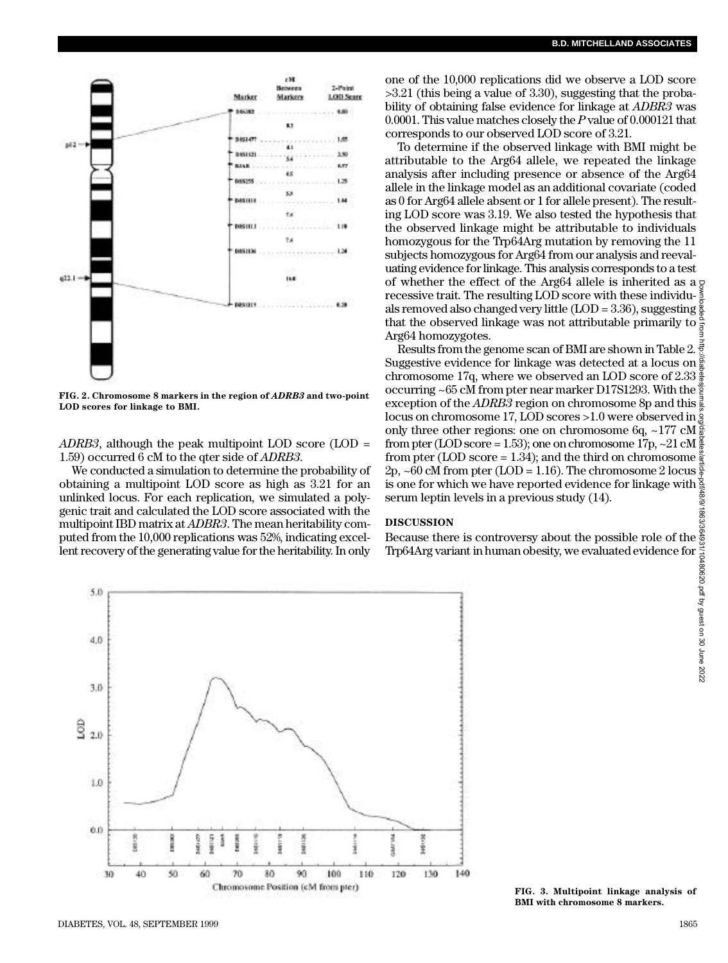

FIG. 2. Chromosome 8 markers in the region of *ADRB3* and two-point **LOD scores for linkage to BMI.**

*ADRB3*, although the peak multipoint LOD score (LOD = 1.59) occurred 6 cM to the qter side of *ADRB3*.

We conducted a simulation to determine the probability of obtaining a multipoint LOD score as high as 3.21 for an unlinked locus. For each replication, we simulated a polygenic trait and calculated the LOD score associated with the multipoint IBD matrix at *ADBR3*. The mean heritability computed from the 10,000 replications was 52%, indicating excellent recovery of the generating value for the heritability. In only

one of the 10,000 replications did we observe a LOD score >3.21 (this being a value of 3.30), suggesting that the probability of obtaining false evidence for linkage at *ADBR3* was 0.0001. This value matches closely the *P* value of 0.000121 that corresponds to our observed LOD score of 3.21.

To determine if the observed linkage with BMI might be attributable to the Arg64 allele, we repeated the linkage analysis after including presence or absence of the Arg64 allele in the linkage model as an additional covariate (coded as 0 for Arg64 allele absent or 1 for allele present). The resulting LOD score was 3.19. We also tested the hypothesis that the observed linkage might be attributable to individuals homozygous for the Trp64Arg mutation by removing the 11 subjects homozygous for Arg64 from our analysis and reevaluating evidence for linkage. This analysis corresponds to a test of whether the effect of the Arg64 allele is inherited as  $a \circ$ recessive trait. The resulting  $LO\ddot{D}$  score with these individu- $\frac{5}{5}$ als removed also changed very little (LOD = 3.36), suggesting  $\frac{8}{9}$ that the observed linkage was not attributable primarily to  $\frac{\alpha}{7}$ Arg64 homozygotes.

Results from the genome scan of BMI are shown in Table 2. Suggestive evidence for linkage was detected at a locus on  $\frac{5}{9}$ chromosome 17q, where we observed an LOD score of 2.33  $\frac{8}{9}$ occurring ~65 cM from pter near marker D17S1293. With the  $\frac{3}{2}$ exception of the *ADRB3* region on chromosome 8p and this  $\frac{3}{2}$ locus on chromosome 17, LOD scores >1.0 were observed in only three other regions: one on chromosome 6q, ~177 cM $\frac{3}{2}$ from pter (LOD score = 1.53); one on chromosome 17p, ~21 cM $\frac{8}{8}$ from pter (LOD score = 1.34); and the third on chromosome  $\frac{8}{3}$  $2p,~60~\text{cM}$  from pter (LOD = 1.16). The chromosome 2 locus  $\frac{5}{6}$ is one for which we have reported evidence for linkage with  $\frac{8}{3}$ serum leptin levels in a previous study (14).

#### **D I S C U S S I O N**

Because there is controversy about the possible role of the Trp64Arg variant in human obesity, we evaluated evidence for



**FIG. 3. Multipoint linkage analysis of BMI with chromosome 8 markers.**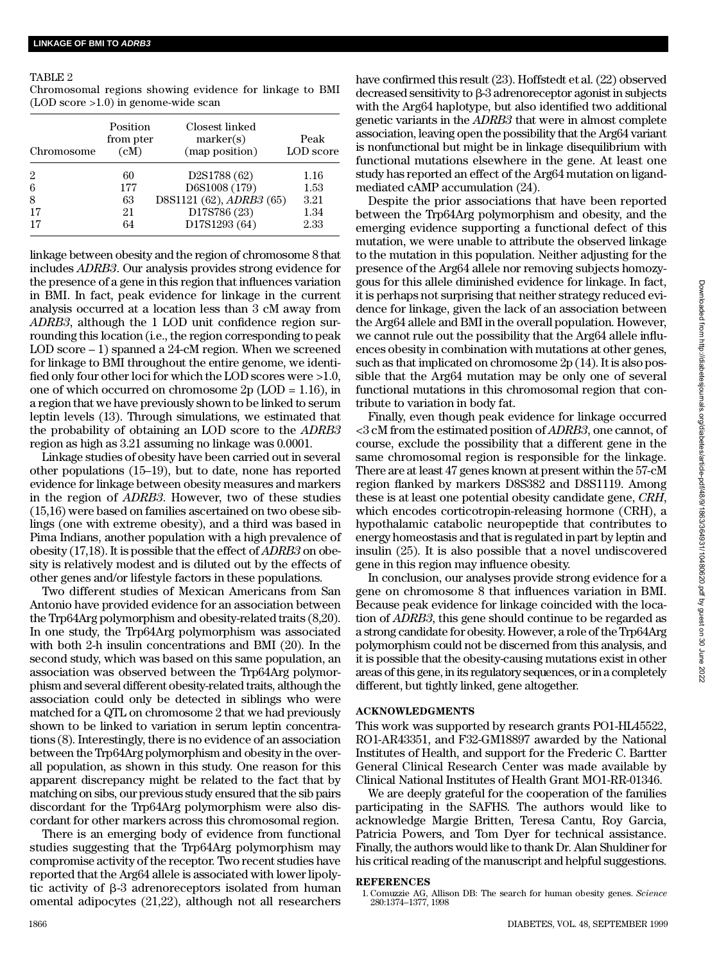## TABLE 2

Chromosomal regions showing evidence for linkage to BMI (LOD score >1.0) in genome-wide scan

| Chromosome | Position<br>from pter<br>(cM) | Closest linked<br>marker(s)<br>(map position) | Peak<br>LOD score |
|------------|-------------------------------|-----------------------------------------------|-------------------|
| 2          | 60                            | D2S1788 (62)                                  | 1.16              |
| 6          | 177                           | D6S1008 (179)                                 | 1.53              |
| 8          | 63                            | D8S1121 (62), ADRB3 (65)                      | 3.21              |
| 17         | 21                            | D17S786 (23)                                  | 1.34              |
| 17         | 64                            | D17S1293 (64)                                 | 2.33              |

linkage between obesity and the region of chromosome 8 that includes *ADRB3*. Our analysis provides strong evidence for the presence of a gene in this region that influences variation in BMI. In fact, peak evidence for linkage in the current analysis occurred at a location less than 3 cM away from ADRB3, although the 1 LOD unit confidence region surrounding this location (i.e., the region corresponding to peak LOD score – 1) spanned a 24-cM region. When we screened for linkage to BMI throughout the entire genome, we identified only four other loci for which the LOD scores were >1.0, one of which occurred on chromosome 2p (LOD = 1.16), in a region that we have previously shown to be linked to serum leptin levels (13). Through simulations, we estimated that the probability of obtaining an LOD score to the *ADRB*3 region as high as 3.21 assuming no linkage was 0.0001.

Linkage studies of obesity have been carried out in several other populations (15–19), but to date, none has reported evidence for linkage between obesity measures and markers in the region of *ADRB3*. However, two of these studies (15,16) were based on families ascertained on two obese siblings (one with extreme obesity), and a third was based in Pima Indians, another population with a high prevalence of obesity (17,18). It is possible that the effect of *ADRB3* on obesity is relatively modest and is diluted out by the effects of other genes and/or lifestyle factors in these populations.

Two different studies of Mexican Americans from San Antonio have provided evidence for an association between the Trp64Arg polymorphism and obesity-related traits (8,20). In one study, the Trp64Arg polymorphism was associated with both 2-h insulin concentrations and BMI (20). In the second study, which was based on this same population, an association was observed between the Trp64Arg polymorphism and several different obesity-related traits, although the association could only be detected in siblings who were matched for a QTL on chromosome 2 that we had previously shown to be linked to variation in serum leptin concentrations (8). Interestingly, there is no evidence of an association between the Trp64Arg polymorphism and obesity in the overall population, as shown in this study. One reason for this apparent discrepancy might be related to the fact that by matching on sibs, our previous study ensured that the sib pairs discordant for the Trp64Arg polymorphism were also discordant for other markers across this chromosomal region.

There is an emerging body of evidence from functional studies suggesting that the Trp64Arg polymorphism may compromise activity of the receptor. Two recent studies have reported that the Arg64 allele is associated with lower lipolytic activity of  $\beta$ -3 adrenoreceptors isolated from human omental adipocytes (21,22), although not all researchers

have confirmed this result (23). Hoffstedt et al. (22) observed decreased sensitivity to  $\beta$ -3 adrenoreceptor agonist in subjects with the Arg64 haplotype, but also identified two additional genetic variants in the *ADRB3* that were in almost complete association, leaving open the possibility that the Arg64 variant is nonfunctional but might be in linkage disequilibrium with functional mutations elsewhere in the gene. At least one study has reported an effect of the Arg64 mutation on ligandmediated cAMP accumulation (24).

Despite the prior associations that have been reported between the Trp64Arg polymorphism and obesity, and the emerging evidence supporting a functional defect of this mutation, we were unable to attribute the observed linkage to the mutation in this population. Neither adjusting for the presence of the Arg64 allele nor removing subjects homozygous for this allele diminished evidence for linkage. In fact, it is perhaps not surprising that neither strategy reduced evidence for linkage, given the lack of an association between the Arg64 allele and BMI in the overall population. However, we cannot rule out the possibility that the Arg64 allele influences obesity in combination with mutations at other genes, such as that implicated on chromosome 2p (14). It is also possible that the Arg64 mutation may be only one of several functional mutations in this chromosomal region that contribute to variation in body fat.

Finally, even though peak evidence for linkage occurred  $<$ 3 cM from the estimated position of *ADRB3*, one cannot, of course, exclude the possibility that a different gene in the same chromosomal region is responsible for the linkage. There are at least 47 genes known at present within the 57-cM region flanked by markers D8S382 and D8S1119. Among these is at least one potential obesity candidate gene, *CRH*, which encodes corticotropin-releasing hormone (CRH), a hypothalamic catabolic neuropeptide that contributes to energy homeostasis and that is regulated in part by leptin and insulin (25). It is also possible that a novel undiscovered gene in this region may influence obesity.

In conclusion, our analyses provide strong evidence for a gene on chromosome 8 that influences variation in BMI. Because peak evidence for linkage coincided with the location of *ADRB3*, this gene should continue to be regarded as a strong candidate for obesity. However, a role of the Trp64Arg polymorphism could not be discerned from this analysis, and it is possible that the obesity-causing mutations exist in other areas of this gene, in its regulatory sequences, or in a completely different, but tightly linked, gene altogether.

# **ACKNOWLEDGMENTS**

This work was supported by research grants PO1-HL45522, RO1-AR43351, and F32-GM18897 awarded by the National Institutes of Health, and support for the Frederic C. Bartter General Clinical Research Center was made available by Clinical National Institutes of Health Grant MO1-RR-01346.

We are deeply grateful for the cooperation of the families participating in the SAFHS. The authors would like to acknowledge Margie Britten, Teresa Cantu, Roy Garcia, Patricia Powers, and Tom Dyer for technical assistance. Finally, the authors would like to thank Dr. Alan Shuldiner for his critical reading of the manuscript and helpful suggestions.

## **R E F E R E N C E S**

1. Comuzzie AG, Allison DB: The search for human obesity genes. *Science* 280:1374–1377, 1998